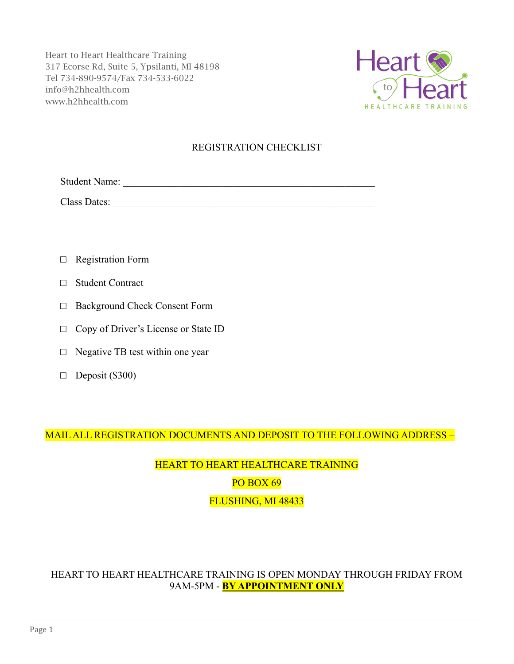

### REGISTRATION CHECKLIST

Student Name: \_\_\_\_\_\_\_\_\_\_\_\_\_\_\_\_\_\_\_\_\_\_\_\_\_\_\_\_\_\_\_\_\_\_\_\_\_\_\_\_\_\_\_\_\_\_\_\_\_\_

Class Dates: \_\_\_\_\_\_\_\_\_\_\_\_\_\_\_\_\_\_\_\_\_\_\_\_\_\_\_\_\_\_\_\_\_\_\_\_\_\_\_\_\_\_\_\_\_\_\_\_\_\_\_\_

- □ Registration Form
- □ Student Contract
- □ Background Check Consent Form
- □ Copy of Driver's License or State ID
- $\Box$  Negative TB test within one year
- $\Box$  Deposit (\$300)

MAIL ALL REGISTRATION DOCUMENTS AND DEPOSIT TO THE FOLLOWING ADDRESS –

# HEART TO HEART HEALTHCARE TRAINING PO BOX 69 FLUSHING, MI 48433

### HEART TO HEART HEALTHCARE TRAINING IS OPEN MONDAY THROUGH FRIDAY FROM 9AM-5PM - **BY APPOINTMENT ONLY**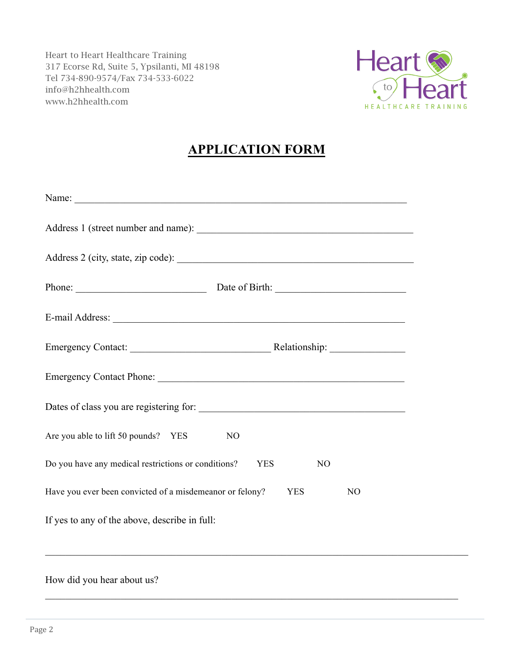

# **APPLICATION FORM**

| Name:                                                                                    |  |  |
|------------------------------------------------------------------------------------------|--|--|
|                                                                                          |  |  |
|                                                                                          |  |  |
| Phone: Date of Birth: 2003                                                               |  |  |
|                                                                                          |  |  |
|                                                                                          |  |  |
|                                                                                          |  |  |
|                                                                                          |  |  |
| Are you able to lift 50 pounds? YES<br>N <sub>O</sub>                                    |  |  |
| Do you have any medical restrictions or conditions?<br><b>YES</b><br>N <sub>O</sub>      |  |  |
| Have you ever been convicted of a misdemeanor or felony?<br><b>YES</b><br>N <sub>O</sub> |  |  |
| If yes to any of the above, describe in full:                                            |  |  |
|                                                                                          |  |  |
| How did you hear about us?                                                               |  |  |

 $\_$  , and the contribution of the contribution of the contribution of the contribution of  $\mathcal{L}_\text{max}$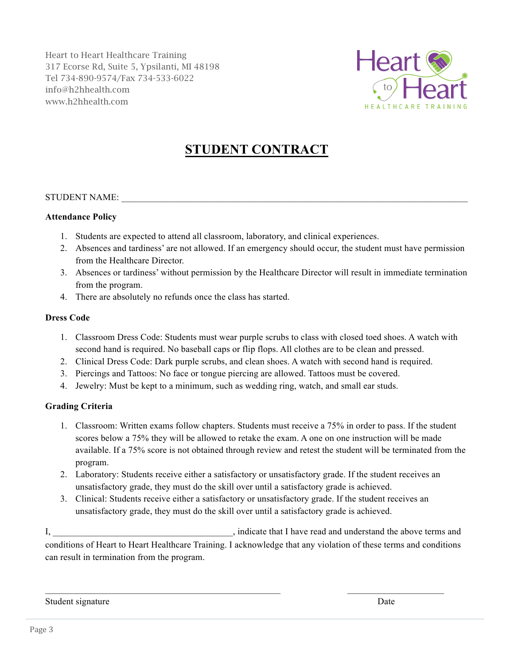

# **STUDENT CONTRACT**

#### STUDENT NAME:

#### **Attendance Policy**

- 1. Students are expected to attend all classroom, laboratory, and clinical experiences.
- 2. Absences and tardiness' are not allowed. If an emergency should occur, the student must have permission from the Healthcare Director.
- 3. Absences or tardiness' without permission by the Healthcare Director will result in immediate termination from the program.
- 4. There are absolutely no refunds once the class has started.

#### **Dress Code**

- 1. Classroom Dress Code: Students must wear purple scrubs to class with closed toed shoes. A watch with second hand is required. No baseball caps or flip flops. All clothes are to be clean and pressed.
- 2. Clinical Dress Code: Dark purple scrubs, and clean shoes. A watch with second hand is required.
- 3. Piercings and Tattoos: No face or tongue piercing are allowed. Tattoos must be covered.
- 4. Jewelry: Must be kept to a minimum, such as wedding ring, watch, and small ear studs.

#### **Grading Criteria**

- 1. Classroom: Written exams follow chapters. Students must receive a 75% in order to pass. If the student scores below a 75% they will be allowed to retake the exam. A one on one instruction will be made available. If a 75% score is not obtained through review and retest the student will be terminated from the program.
- 2. Laboratory: Students receive either a satisfactory or unsatisfactory grade. If the student receives an unsatisfactory grade, they must do the skill over until a satisfactory grade is achieved.
- 3. Clinical: Students receive either a satisfactory or unsatisfactory grade. If the student receives an unsatisfactory grade, they must do the skill over until a satisfactory grade is achieved.

I,  $\blacksquare$ conditions of Heart to Heart Healthcare Training. I acknowledge that any violation of these terms and conditions can result in termination from the program.

Student signature Date